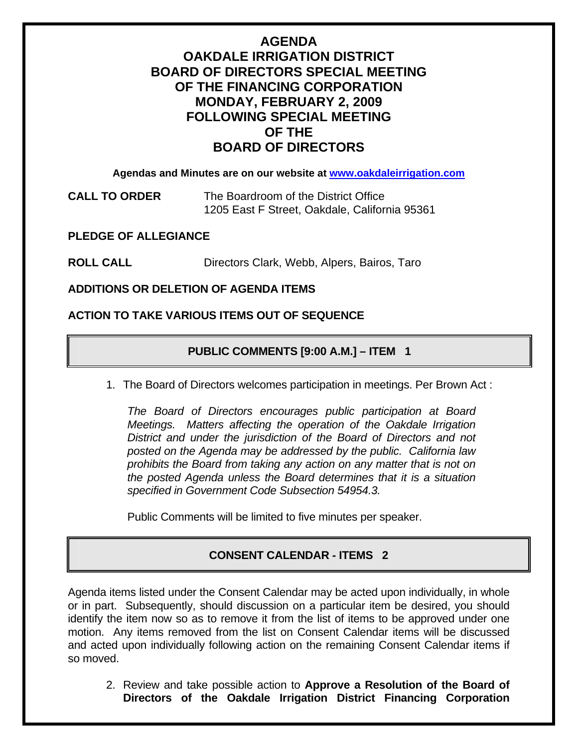## **AGENDA**

# **OAKDALE IRRIGATION DISTRICT BOARD OF DIRECTORS SPECIAL MEETING OF THE FINANCING CORPORATION MONDAY, FEBRUARY 2, 2009 FOLLOWING SPECIAL MEETING OF THE BOARD OF DIRECTORS**

**Agendas and Minutes are on our website at [www.oakdaleirrigation.com](http://www.oakdaleirrigation.com/)**

**CALL TO ORDER** The Boardroom of the District Office 1205 East F Street, Oakdale, California 95361

**PLEDGE OF ALLEGIANCE** 

**ROLL CALL** Directors Clark, Webb, Alpers, Bairos, Taro

**ADDITIONS OR DELETION OF AGENDA ITEMS** 

#### **ACTION TO TAKE VARIOUS ITEMS OUT OF SEQUENCE**

## **PUBLIC COMMENTS [9:00 A.M.] – ITEM 1**

1. The Board of Directors welcomes participation in meetings. Per Brown Act :

*The Board of Directors encourages public participation at Board Meetings. Matters affecting the operation of the Oakdale Irrigation District and under the jurisdiction of the Board of Directors and not posted on the Agenda may be addressed by the public. California law prohibits the Board from taking any action on any matter that is not on the posted Agenda unless the Board determines that it is a situation specified in Government Code Subsection 54954.3.*

Public Comments will be limited to five minutes per speaker.

## **CONSENT CALENDAR - ITEMS 2**

Agenda items listed under the Consent Calendar may be acted upon individually, in whole or in part. Subsequently, should discussion on a particular item be desired, you should identify the item now so as to remove it from the list of items to be approved under one motion. Any items removed from the list on Consent Calendar items will be discussed and acted upon individually following action on the remaining Consent Calendar items if so moved.

2. Review and take possible action to **Approve a Resolution of the Board of Directors of the Oakdale Irrigation District Financing Corporation**